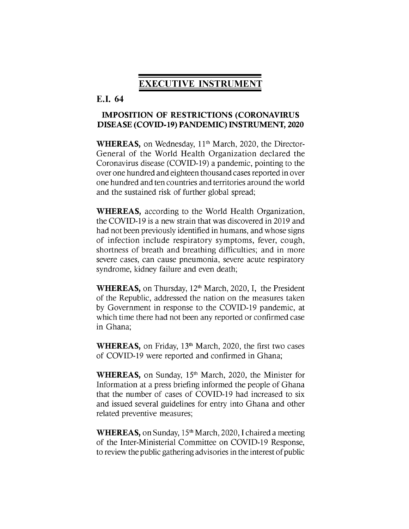# **EXECUTIVE INSTRUMENT**

# **E.I. 64**

# **IMPOSITION OF RESTRICTIONS (CORONAVIRUS DISEASE (COVID-19) PANDEMIC) INSTRUMENT, 2020**

WHEREAS, on Wednesday, 11<sup>th</sup> March, 2020, the Director-General of the World Health Organization declared the Coronavirus disease (COVID-19) a pandemic, pointing to the over one hundred and eighteen thousand cases reported in over one hundred and ten countries and territories around the world and the sustained risk of further global spread;

**WHEREAS,** according to the World Health Organization, the COVID-19 is a new strain that was discovered in 2019 and had not been previously identified in humans, and whose signs of infection include respiratory symptoms, fever, cough, shortness of breath and breathing difficulties; and in more severe cases, can cause pneumonia, severe acute respiratory syndrome, kidney failure and even death;

WHEREAS, on Thursday, 12<sup>th</sup> March, 2020, I, the President of the Republic, addressed the nation on the measures taken by Government in response to the COVID-19 pandemic, at which time there had not been any reported or confirmed case in Ghana;

**WHEREAS,** on Friday, 13<sup>th</sup> March, 2020, the first two cases of COVID-19 were reported and confirmed in Ghana;

WHEREAS, on Sunday, 15<sup>th</sup> March, 2020, the Minister for Information at a press briefing informed the people of Ghana that the number of cases of COVID-19 had increased to six and issued several guidelines for entry into Ghana and other related preventive measures;

**WHEREAS,** on Sunday, 15<sup>th</sup> March, 2020, I chaired a meeting of the Inter-Ministerial Committee on COVID-19 Response, to review the public gathering advisories in the interest of public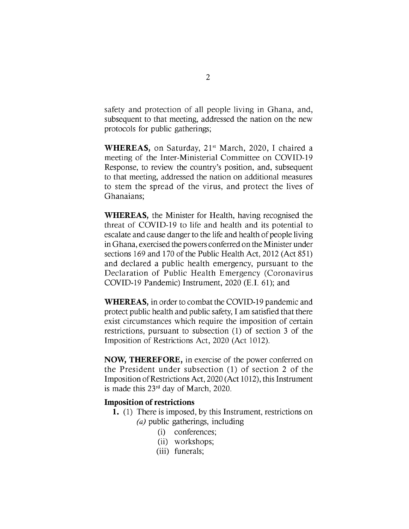safety and protection of all people living in Ghana, and, subsequent to that meeting, addressed the nation on the new protocols for public gatherings;

WHEREAS, on Saturday, 21<sup>st</sup> March, 2020, I chaired a meeting of the Inter-Ministerial Committee on COVID-19 Response, to review the country's position, and, subsequent to that meeting, addressed the nation on additional measures to stem the spread of the virus, and protect the lives of Ghanaians;

**WHEREAS,** the Minister for Health, having recognised the threat of COVID-19 to life and health and its potential to escalate and cause danger to the life and health of people living in Ghana, exercised the powers conferred on the Minister under sections 169 and 170 of the Public Health Act, 2012 (Act 851) and declared a public health emergency, pursuant to the Declaration of Public Health Emergency (Coronavirus COVID-19 Pandemic) Instrument, 2020 (E.I. 61); and

**WHEREAS,** in order to combat the COVID-19 pandemic and protect public health and public safety, I am satisfied that there exist circumstances which require the imposition of certain restrictions, pursuant to subsection (1) of section 3 of the Imposition of Restrictions Act, 2020 (Act 1012).

**NOW, THEREFORE,** in exercise of the power conferred on the President under subsection (1) of section 2 of the Imposition ofRestrictions Act, 2020 (Act 1012), this Instrument is made this 23rd day of March, 2020.

## **Imposition ofrestrictions**

- **1.** (1) There is imposed, by this Instrument, restrictions on *(a)* public gatherings, including
	- (i) conferences;
	- (ii) workshops;
	- (iii) funerals;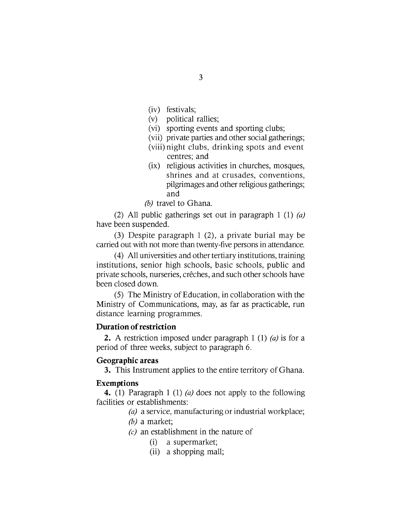- (iv) festivals;
- (v) political rallies;
- (vi) sporting events and sporting clubs;
- (vii) private parties and other social gatherings;
- (viii) night clubs, drinking spots and event centres; and
- (ix) religious activities in churches, mosques, shrines and at crusades, conventions, pilgrimages and other religious gatherings; and
- *(b)* travel to Ghana.

(2) All public gatherings set out in paragraph <sup>1</sup> (1) *(a)* have been suspended.

(3) Despite paragraph <sup>1</sup> (2), a private burial may be carried out with not more than twenty-five persons in attendance.

(4) All universities and other tertiary institutions, training institutions, senior high schools, basic schools, public and private schools, nurseries, crêches, and such other schools have been closed down.

 $(5)$  The Ministry of Education, in collaboration with the Ministry of Communications, may, as far as practicable, run distance learning programmes.

### **Duration ofrestriction**

**2.** A restriction imposed under paragraph <sup>1</sup> (1) *(a)* is for a period of three weeks, subject to paragraph 6.

### **Geographic areas**

**3.** This Instrument applies to the entire territory of Ghana.

#### **Exemptions**

**4.** (1) Paragraph <sup>1</sup> (1) *(a)* does not apply to the following facilities or establishments:

- *(a)* a service, manufacturing or industrial workplace;
- *(b)* a market;
- *(c)* an establishment in the nature of
	- (i) a supermarket;
	- (ii) a shopping mall;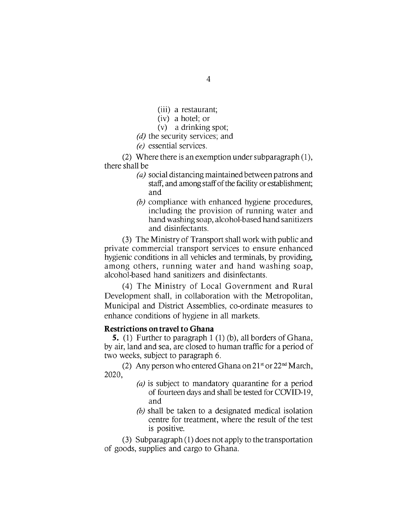- (iii) a restaurant;
- (iv) a hotel; or
- (v) a drinking spot;
- *(d)* the security services; and
- *(e)* essential services.

(2) Where there is an exemption under subparagraph  $(1)$ , there shall be

- (a) social distancing maintained between patrons and staff, and among staff of the facility or establishment; and
- *(b)* compliance with enhanced hygiene procedures, including the provision of running water and handwashing soap, alcohol-based hand sanitizers and disinfectants.

(3) The Ministry of Transportshall work with public and private commercial transport services to ensure enhanced hygienic conditions in all vehicles and terminals, by providing, among others, running water and hand washing soap, alcohol-based hand sanitizers and disinfectants.

(4) The Ministry of Local Government and Rural Development shall, in collaboration with the Metropolitan, Municipal and District Assemblies, co-ordinate measures to enhance conditions of hygiene in all markets.

# **Restrictions ontravel to Ghana**

**5.** (1) Further to paragraph <sup>1</sup> (1) (b), all borders of Ghana, by air, land and sea, are closed to human traffic for a period of two weeks, subject to paragraph 6.

(2) Any person who entered Ghana on  $21<sup>st</sup>$  or  $22<sup>nd</sup> March$ , 2020,

- *(a)* is subject to mandatory quarantine for a period of fourteen days and shall be tested for COVID-19, and
- *(b)* shall be taken to a designated medical isolation centre for treatment, where the result of the test is positive.

(3) Subparagraph (1) does not apply to the transportation of goods, supplies and cargo to Ghana.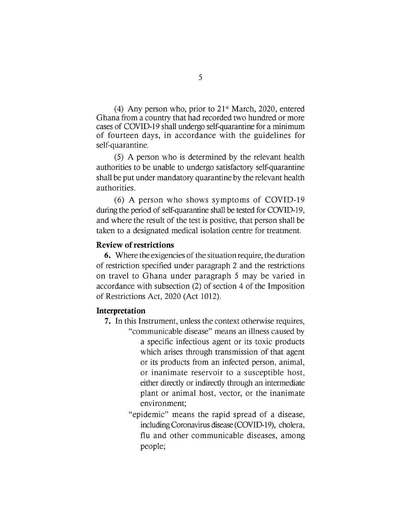(4) Any person who, prior to  $21<sup>st</sup>$  March, 2020, entered Ghana from a country that had recorded two hundred or more cases of COVID-19 shall undergo self-quarantine for a minimum of fourteen days, in accordance with the guidelines for self-quarantine.

(5) A person who is determined by the relevant health authorities to be unable to undergo satisfactory self-quarantine shall be put under mandatory quarantine by the relevant health authorities.

(6) A person who shows symptoms of COVID-19 during the period of self-quarantine shall be tested for COVID-19, and where the result of the test is positive, that person shall be taken to a designated medical isolation centre for treatment.

# **Review ofrestrictions**

**6.** Where the exigencies of the situation require, the duration of restriction specified under paragraph 2 and the restrictions on travel to Ghana under paragraph <sup>5</sup> may be varied in accordance with subsection (2) of section 4 of the Imposition of Restrictions Act, 2020 (Act 1012).

### **Interpretation**

- **7.** In this Instrument, unless the context otherwise requires, "communicable disease" means an illness caused by a specific infectious agent or its toxic products which arises through transmission of that agent or its products from an infected person, animal, or inanimate reservoir to a susceptible host, either directly or indirectly through an intermediate plant or animal host, vector, or the inanimate environment;
	- "epidemic" means the rapid spread of a disease, including Coronavirus disease (COVID-19), cholera, flu and other communicable diseases, among people;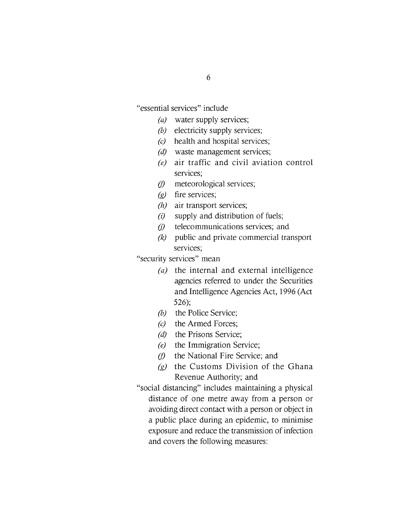"essential services" include

- *(a)* water supply services;
- *(b)* electricity supply services;
- *(c)* health and hospital services;
- *(d)* waste management services;
- *(e)* air traffic and civil aviation control services;
- *(f)* meteorological services;
- *(g)* fire services;
- *(h)* air transport services;
- *(i)* supply and distribution of fuels;
- *(j)* telecommunications services; and
- *(k)* public and private commercial transport services;

"security services" mean

- *(a)* the internal and external intelligence agencies referred to under the Securities and Intelligence Agencies Act, 1996 (Act 526);
- *(b)* the Police Service;
- *(c)* the Armed Forces;
- *(d)* the Prisons Service;
- *(e)* the Immigration Service;
- *(f)* the National Fire Service; and
- *(g)* the Customs Division of the Ghana Revenue Authority; and
- "social distancing" includes maintaining a physical distance of one metre away from a person or avoiding direct contact with a person or object in a public place during an epidemic, to minimise exposure and reduce the transmission of infection and covers the following measures: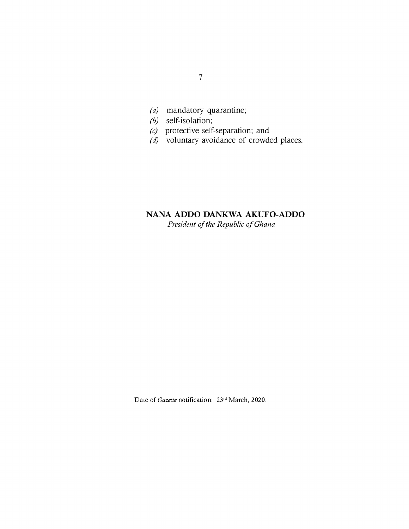- *(a)* mandatory quarantine;
- *(b)* self-isolation;
- *(c)* protective self-separation; and
- *(d)* voluntary avoidance of crowded places.

# **NANA ADDO DANKWA AKUFO-ADDO**

*President ofthe Republic ofGhana*

Date of *Gazette* notification: 23<sup>rd</sup> March, 2020.